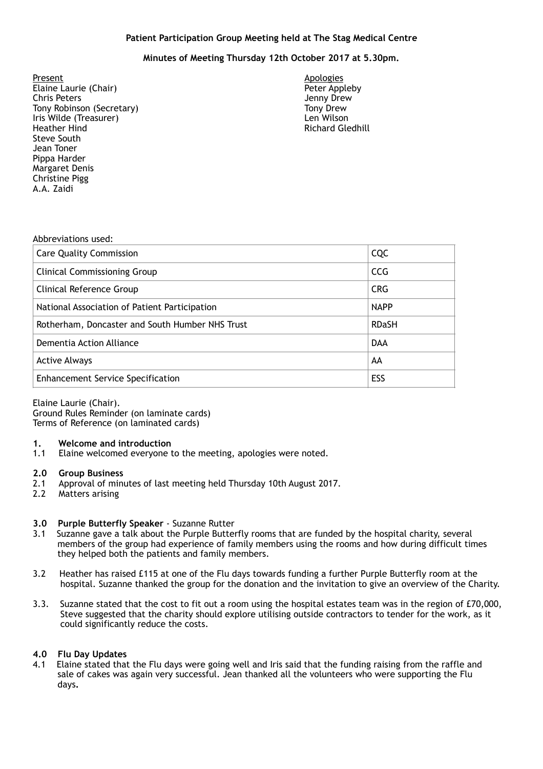### **Patient Participation Group Meeting held at The Stag Medical Centre**

## **Minutes of Meeting Thursday 12th October 2017 at 5.30pm.**

- Present Apologies Elaine Laurie (Chair) Chris Peters (Secretary 1992)<br>
Tony Robinson (Secretary 1992)<br>
Tony Drew 1993 Tony Robinson (Secretary) Tony Drew<br>Tony Drew Lei (Treasurer) Tony Drew Len Wilson Iris Wilde (Treasurer) **Heather Hind Communist Communist Communist Communist Communist Communist Communist Communist Communist Communist Communist Communist Communist Communist Communist Communist Communist Communist Communist Communist Communis** Steve South Jean Toner Pippa Harder Margaret Denis Christine Pigg A.A. Zaidi
	-

#### Abbreviations used:

| <b>Care Quality Commission</b>                  | CQC          |
|-------------------------------------------------|--------------|
| <b>Clinical Commissioning Group</b>             | <b>CCG</b>   |
| <b>Clinical Reference Group</b>                 | <b>CRG</b>   |
| National Association of Patient Participation   | <b>NAPP</b>  |
| Rotherham, Doncaster and South Humber NHS Trust | <b>RDaSH</b> |
| Dementia Action Alliance                        | <b>DAA</b>   |
| <b>Active Always</b>                            | AA           |
| <b>Enhancement Service Specification</b>        | ESS          |

Elaine Laurie (Chair). Ground Rules Reminder (on laminate cards) Terms of Reference (on laminated cards)

#### **1. Welcome and introduction**

1.1 Elaine welcomed everyone to the meeting, apologies were noted.

#### **2.0 Group Business**

- 2.1 Approval of minutes of last meeting held Thursday 10th August 2017.
- 2.2 Matters arising

# **3.0 Purple Butterfly Speaker** - Suzanne Rutter

- Suzanne gave a talk about the Purple Butterfly rooms that are funded by the hospital charity, several members of the group had experience of family members using the rooms and how during difficult times they helped both the patients and family members.
- 3.2 Heather has raised £115 at one of the Flu days towards funding a further Purple Butterfly room at the hospital. Suzanne thanked the group for the donation and the invitation to give an overview of the Charity.
- 3.3. Suzanne stated that the cost to fit out a room using the hospital estates team was in the region of £70,000, Steve suggested that the charity should explore utilising outside contractors to tender for the work, as it could significantly reduce the costs.

#### **4.0 Flu Day Updates**

4.1 Elaine stated that the Flu days were going well and Iris said that the funding raising from the raffle and sale of cakes was again very successful. Jean thanked all the volunteers who were supporting the Flu days**.**